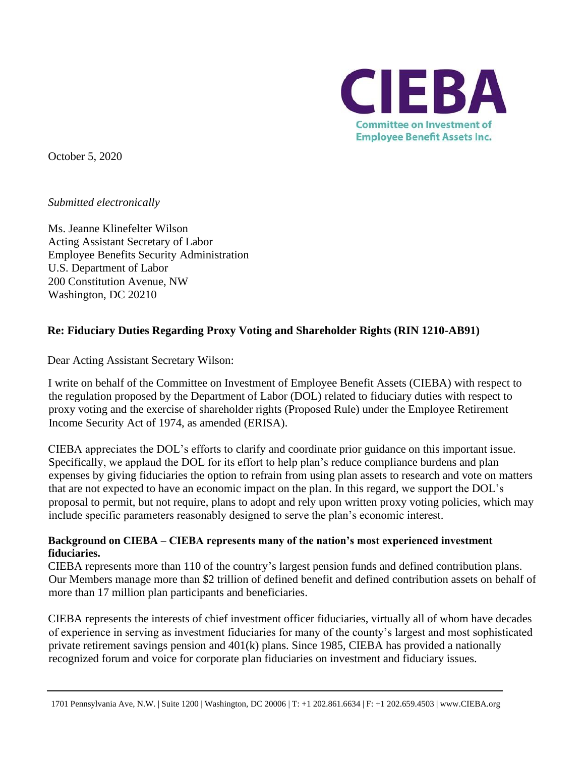

October 5, 2020

*Submitted electronically*

Ms. Jeanne Klinefelter Wilson Acting Assistant Secretary of Labor Employee Benefits Security Administration U.S. Department of Labor 200 Constitution Avenue, NW Washington, DC 20210

## **Re: Fiduciary Duties Regarding Proxy Voting and Shareholder Rights (RIN 1210-AB91)**

Dear Acting Assistant Secretary Wilson:

I write on behalf of the Committee on Investment of Employee Benefit Assets (CIEBA) with respect to the regulation proposed by the Department of Labor (DOL) related to fiduciary duties with respect to proxy voting and the exercise of shareholder rights (Proposed Rule) under the Employee Retirement Income Security Act of 1974, as amended (ERISA).

CIEBA appreciates the DOL's efforts to clarify and coordinate prior guidance on this important issue. Specifically, we applaud the DOL for its effort to help plan's reduce compliance burdens and plan expenses by giving fiduciaries the option to refrain from using plan assets to research and vote on matters that are not expected to have an economic impact on the plan. In this regard, we support the DOL's proposal to permit, but not require, plans to adopt and rely upon written proxy voting policies, which may include specific parameters reasonably designed to serve the plan's economic interest.

## **Background on CIEBA – CIEBA represents many of the nation's most experienced investment fiduciaries.**

CIEBA represents more than 110 of the country's largest pension funds and defined contribution plans. Our Members manage more than \$2 trillion of defined benefit and defined contribution assets on behalf of more than 17 million plan participants and beneficiaries.

CIEBA represents the interests of chief investment officer fiduciaries, virtually all of whom have decades of experience in serving as investment fiduciaries for many of the county's largest and most sophisticated private retirement savings pension and 401(k) plans. Since 1985, CIEBA has provided a nationally recognized forum and voice for corporate plan fiduciaries on investment and fiduciary issues.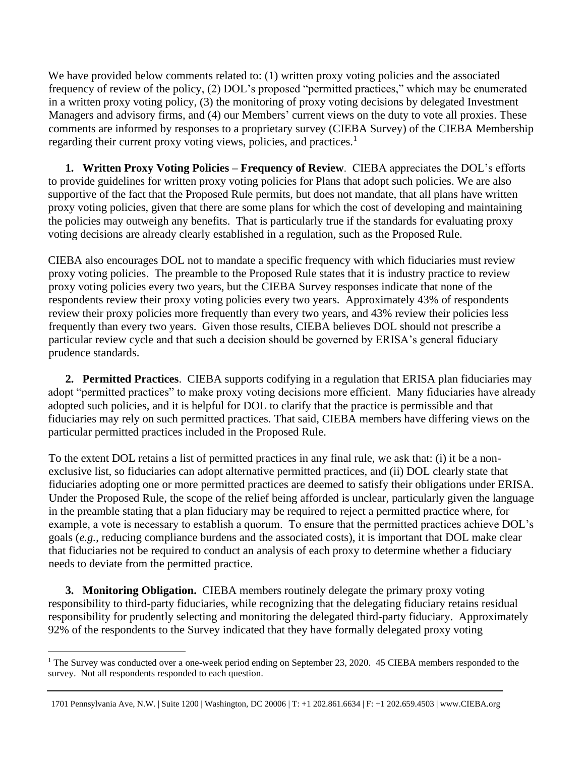We have provided below comments related to: (1) written proxy voting policies and the associated frequency of review of the policy, (2) DOL's proposed "permitted practices," which may be enumerated in a written proxy voting policy, (3) the monitoring of proxy voting decisions by delegated Investment Managers and advisory firms, and (4) our Members' current views on the duty to vote all proxies. These comments are informed by responses to a proprietary survey (CIEBA Survey) of the CIEBA Membership regarding their current proxy voting views, policies, and practices.<sup>1</sup>

**1. Written Proxy Voting Policies – Frequency of Review**. CIEBA appreciates the DOL's efforts to provide guidelines for written proxy voting policies for Plans that adopt such policies. We are also supportive of the fact that the Proposed Rule permits, but does not mandate, that all plans have written proxy voting policies, given that there are some plans for which the cost of developing and maintaining the policies may outweigh any benefits. That is particularly true if the standards for evaluating proxy voting decisions are already clearly established in a regulation, such as the Proposed Rule.

CIEBA also encourages DOL not to mandate a specific frequency with which fiduciaries must review proxy voting policies. The preamble to the Proposed Rule states that it is industry practice to review proxy voting policies every two years, but the CIEBA Survey responses indicate that none of the respondents review their proxy voting policies every two years. Approximately 43% of respondents review their proxy policies more frequently than every two years, and 43% review their policies less frequently than every two years. Given those results, CIEBA believes DOL should not prescribe a particular review cycle and that such a decision should be governed by ERISA's general fiduciary prudence standards.

**2. Permitted Practices**. CIEBA supports codifying in a regulation that ERISA plan fiduciaries may adopt "permitted practices" to make proxy voting decisions more efficient. Many fiduciaries have already adopted such policies, and it is helpful for DOL to clarify that the practice is permissible and that fiduciaries may rely on such permitted practices. That said, CIEBA members have differing views on the particular permitted practices included in the Proposed Rule.

To the extent DOL retains a list of permitted practices in any final rule, we ask that: (i) it be a nonexclusive list, so fiduciaries can adopt alternative permitted practices, and (ii) DOL clearly state that fiduciaries adopting one or more permitted practices are deemed to satisfy their obligations under ERISA. Under the Proposed Rule, the scope of the relief being afforded is unclear, particularly given the language in the preamble stating that a plan fiduciary may be required to reject a permitted practice where, for example, a vote is necessary to establish a quorum. To ensure that the permitted practices achieve DOL's goals (*e.g.*, reducing compliance burdens and the associated costs), it is important that DOL make clear that fiduciaries not be required to conduct an analysis of each proxy to determine whether a fiduciary needs to deviate from the permitted practice.

**3. Monitoring Obligation.** CIEBA members routinely delegate the primary proxy voting responsibility to third-party fiduciaries, while recognizing that the delegating fiduciary retains residual responsibility for prudently selecting and monitoring the delegated third-party fiduciary. Approximately 92% of the respondents to the Survey indicated that they have formally delegated proxy voting

<sup>&</sup>lt;sup>1</sup> The Survey was conducted over a one-week period ending on September 23, 2020. 45 CIEBA members responded to the survey. Not all respondents responded to each question.

<sup>1701</sup> Pennsylvania Ave, N.W. | Suite 1200 | Washington, DC 20006 | T: +1 202.861.6634 | F: +1 202.659.4503 | www.CIEBA.org